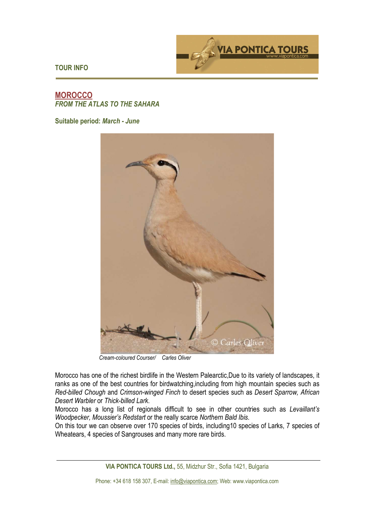

**TOUR INFO** 

## **MOROCCO**  *FROM THE ATLAS TO THE SAHARA*

**Suitable period:** *March - June* 



*Cream-coloured Courser/ Carles Oliver*

Morocco has one of the richest birdlife in the Western Palearctic,Due to its variety of landscapes, it ranks as one of the best countries for birdwatching,including from high mountain species such as *Red-billed Chough* and *Crimson-winged Finch* to desert species such as *Desert Sparrow, African Desert Warbler* or *Thick-billed Lark*.

Morocco has a long list of regionals difficult to see in other countries such as *Levaillant's Woodpecker, Moussier's Redstart* or the really scarce *Northern Bald Ibis*.

On this tour we can observe over 170 species of birds, including10 species of Larks, 7 species of Wheatears, 4 species of Sangrouses and many more rare birds.

**VIA PONTICA TOURS Ltd.,** 55, Midzhur Str., Sofia 1421, Bulgaria

Phone: +34 618 158 307, E-mail: info@viapontica.com; Web: www.viapontica.com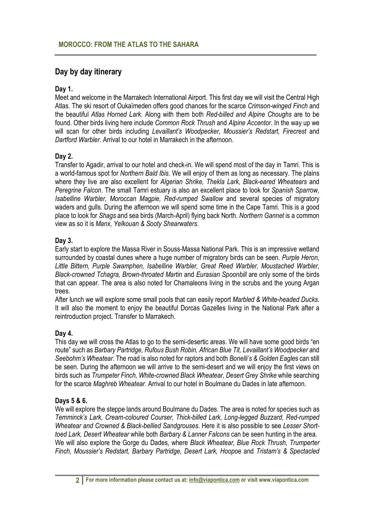# **Day by day itinerary**

# **Day 1.**

Meet and welcome in the Marrakech International Airport. This first day we will visit the Central High Atlas. The ski resort of Oukaïmeden offers good chances for the scarce *Crimson-winged Finch* and the beautiful *Atlas Horned Lark*. Along with them both *Red-billed and Alpine Choughs* are to be found. Other birds living here include *Common Rock Thrush* and *Alpine Accentor*. In the way up we will scan for other birds including *Levaillant's Woodpecker, Moussier's Redstart, Firecrest* and *Dartford Warbler*. Arrival to our hotel in Marrakech in the afternoon.

# **Day 2.**

Transfer to Agadir, arrival to our hotel and check-in. We will spend most of the day in Tamri. This is a world-famous spot for *Northern Bald Ibis*. We will enjoy of them as long as necessary. The plains where they live are also excellent for *Algerian Shrike, Thekla Lark, Black-eared Wheatears* and *Peregrine Falcon*. The small Tamri estuary is also an excellent place to look for *Spanish Sparrow, Isabelline Warbler, Moroccan Magpie, Red-rumped Swallow* and several species of migratory waders and gulls. During the afternoon we will spend some time in the Cape Tamri. This is a good place to look for *Shags* and sea birds (March-April) flying back North. *Northern Gannet* is a common view as so it is *Manx, Yelkouan & Sooty Shearwaters*.

# **Day 3.**

Early start to explore the Massa River in Souss-Massa National Park. This is an impressive wetland surrounded by coastal dunes where a huge number of migratory birds can be seen. *Purple Heron, Little Bittern, Purple Swamphen, Isabelline Warbler, Great Reed Warbler, Moustached Warbler, Black-crowned Tchagra, Brown-throated Martin* and *Eurasian Spoonbill* are only some of the birds that can appear. The area is also noted for Chamaleons living in the scrubs and the young Argan trees.

After lunch we will explore some small pools that can easily report *Marbled & White-headed Ducks*. It will also the moment to enjoy the beautiful Dorcas Gazelles living in the National Park after a reintroduction project. Transfer to Marrakech.

## **Day 4.**

This day we will cross the Atlas to go to the semi-desertic areas. We will have some good birds "en route" such as *Barbary Partridge, Rufous Bush Robin, African Blue Tit, Levaillant's Woodpecker* and *Seebohm's Wheatear*. The road is also noted for raptors and both *Bonelli's & Golden Eagle*s can still be seen. During the afternoon we will arrive to the semi-desert and we will enjoy the first views on birds such as *Trumpeter Finch, White-crowned Black Wheatear, Desert Grey Shrike* while searching for the scarce *Maghreb Wheatear*. Arrival to our hotel in Boulmane du Dades in late afternoon.

## **Days 5 & 6.**

We will explore the steppe lands around Boulmane du Dades. The area is noted for species such as *Temminck's Lark, Cream-coloured Courser, Thick-billed Lark, Long-legged Buzzard, Red-rumped Wheatear and Crowned & Black-bellied Sandgrouses*. Here it is also possible to see *Lesser Shorttoed Lark, Desert Wheatear* while both *Barbary & Lanner Falcons* can be seen hunting in the area. We will also explore the Gorge du Dades, where *Black Wheatear, Blue Rock Thrush, Trumperter Finch, Moussier's Redstart, Barbary Partridge, Desert Lark, Hoopoe* and *Tristam's & Spectacled*